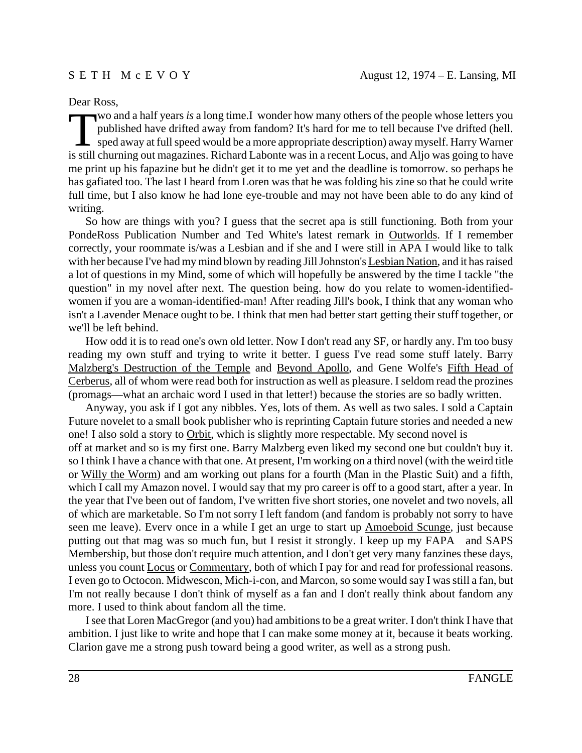## Dear Ross,

Two and a half years *is* a long time.I wonder how many others of the people whose letters you<br>published have drifted away from fandom? It's hard for me to tell because I've drifted (hell.<br>sped away at full speed would be published have drifted away from fandom? It's hard for me to tell because I've drifted (hell. is still churning out magazines. Richard Labonte was in a recent Locus, and Aljo was going to have me print up his fapazine but he didn't get it to me yet and the deadline is tomorrow. so perhaps he has gafiated too. The last I heard from Loren was that he was folding his zine so that he could write full time, but I also know he had lone eye-trouble and may not have been able to do any kind of writing.

So how are things with you? I guess that the secret apa is still functioning. Both from your PondeRoss Publication Number and Ted White's latest remark in Outworlds. If I remember correctly, your roommate is/was a Lesbian and if she and I were still in APA I would like to talk with her because I've had my mind blown by reading Jill Johnston's Lesbian Nation, and it has raised a lot of questions in my Mind, some of which will hopefully be answered by the time I tackle "the question" in my novel after next. The question being. how do you relate to women-identifiedwomen if you are a woman-identified-man! After reading Jill's book, I think that any woman who isn't a Lavender Menace ought to be. I think that men had better start getting their stuff together, or we'll be left behind.

How odd it is to read one's own old letter. Now I don't read any SF, or hardly any. I'm too busy reading my own stuff and trying to write it better. I guess I've read some stuff lately. Barry Malzberg's Destruction of the Temple and Beyond Apollo, and Gene Wolfe's Fifth Head of Cerberus, all of whom were read both for instruction as well as pleasure. I seldom read the prozines (promags—what an archaic word I used in that letter!) because the stories are so badly written.

Anyway, you ask if I got any nibbles. Yes, lots of them. As well as two sales. I sold a Captain Future novelet to a small book publisher who is reprinting Captain future stories and needed a new one! I also sold a story to Orbit, which is slightly more respectable. My second novel is off at market and so is my first one. Barry Malzberg even liked my second one but couldn't buy it. so I think I have a chance with that one. At present, I'm working on a third novel (with the weird title or Willy the Worm) and am working out plans for a fourth (Man in the Plastic Suit) and a fifth, which I call my Amazon novel. I would say that my pro career is off to a good start, after a year. In the year that I've been out of fandom, I've written five short stories, one novelet and two novels, all of which are marketable. So I'm not sorry I left fandom (and fandom is probably not sorry to have seen me leave). Every once in a while I get an urge to start up Amoeboid Scunge, just because putting out that mag was so much fun, but I resist it strongly. I keep up my FAPA and SAPS Membership, but those don't require much attention, and I don't get very many fanzines these days, unless you count **Locus** or **Commentary**, both of which I pay for and read for professional reasons. I even go to Octocon. Midwescon, Mich-i-con, and Marcon, so some would say I was still a fan, but I'm not really because I don't think of myself as a fan and I don't really think about fandom any more. I used to think about fandom all the time.

I see that Loren MacGregor (and you) had ambitions to be a great writer. I don't think I have that ambition. I just like to write and hope that I can make some money at it, because it beats working. Clarion gave me a strong push toward being a good writer, as well as a strong push.